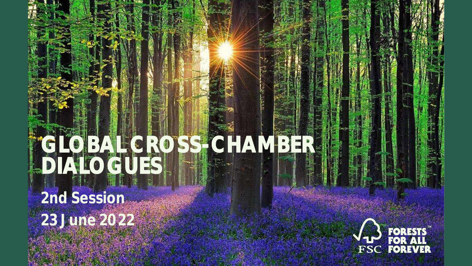# **GLOBAL CROSS-CHAMBER DIALOGUES**

**2nd Session 23 June 2022**

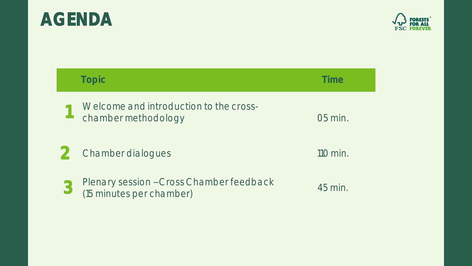# **AGENDA Topic Time 1** Welcome and introduction to the crosschamber methodology on the chamber methodology of the chamber of the chamber of the chamber of the chamber of the chamber of the chamber of the chamber of the chamber of the chamber of the chamber of the chamber of the cha 2 Chamber dialogues 110 min. **3** Plenary session - Cross Chamber feedback (15 minutes per chamber) 45 min.

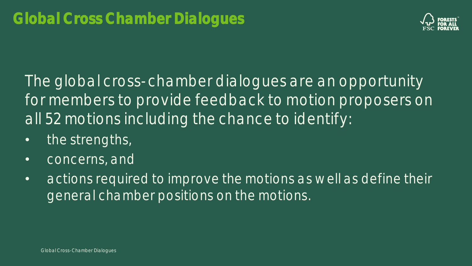

The global cross-chamber dialogues are an opportunity for members to provide feedback to motion proposers on all 52 motions including the chance to identify:

- the strengths,
- concerns, and
- actions required to improve the motions as well as define their general chamber positions on the motions.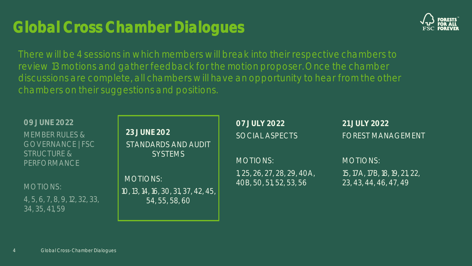#### 4 Global Cross-Chamber Dialogues

| JE 2022<br>ER RULES &<br><b>RNANCE   FSC</b><br>TURE &<br><b>RMANCE</b> | <b>23 JUNE 202</b><br><b>STANDARDS AND AUDIT</b><br><b>SYSTEMS</b>       |
|-------------------------------------------------------------------------|--------------------------------------------------------------------------|
| )NS:<br>7, 8, 9, 12, 32, 33,<br>41, 59                                  | <b>MOTIONS:</b><br>10, 13, 14, 16, 30, 31, 37, 42, 45,<br>54, 55, 58, 60 |

**07 JULY 2022** SOCIAL ASPECTS

> MOTIONS: 1, 25, 26, 27, 28, 29, 40A, 40B, 50, 51, 52, 53, 56

**21 JULY 2022** FOREST MANAGEMENT

15, 17A, 17B, 18, 19, 21, 22,

23, 43, 44, 46, 47, 49

MOTIONS:

# There will be 4 sessions in which members will break into their respective chambers to review 13 motions and gather feedback for the motion proposer. Once the chamber discussions are complete, all chambers will have an opportunity to hear from the other

chambers on their suggestions and positions.

# **Global Cross Chamber Dialogues**



**09 JUNE 2022**

**MEMBE** GOVFI STRUCT  $PFRFO$ 

MOTIC

 $4, 5, 6,$ 34, 35,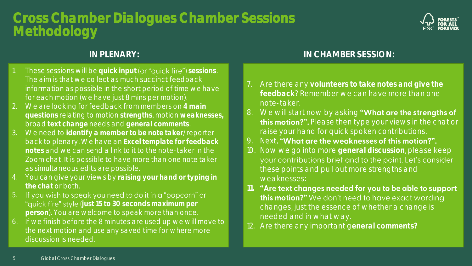# **Cross Chamber Dialogues Chamber Sessions Methodology**



- 1. These sessions will be quick input (or "quick fire") sessions. The aim is that we collect as much succinct feedback information as possible in the short period of time we have for each motion (we have just 8 mins per motion).
- 2. We are looking for feedback from members on **4 main questions** relating to motion **strengths**, motion **weaknesses,** broad **text change** needs and **general comments**.
- 3. We need to **identify a member to be note taker**/reporter back to plenary. We have an **Excel template for feedback notes** and we can send a link to it to the note-taker in the Zoom chat. It is possible to have more than one note taker as simultaneous edits are possible.
- 4. You can give your views by **raising your hand or typing in the chat** or both.
- 5. If you wish to speak you need to do it in a "popcorn" or "quick fire" style (just 15 to 30 seconds maximum per **person**). You are welcome to speak more than once.
- 6. If we finish before the 8 minutes are used up we will move to the next motion and use any saved time for where more discussion is needed.

#### **IN PLENARY: IN CHAMBER SESSION:**

- 7. Are there any **volunteers to take notes and give the feedback**? Remember we can have more than one note-taker.
- 8. We will start now by asking "What are the strengths of this motion?". Please then type your views in the chat or raise your hand for quick spoken contributions.
- 9. Next, "What are the weaknesses of this motion?".
- 10. Now we go into more **general discussion**, please keep your contributions brief and to the point. Let's consider these points and pull out more strengths and weaknesses:
- 11. "Are text changes needed for you to be able to support this motion?" We don't need to have exact wording changes, just the essence of whether a change is needed and in what way.
- 12. Are there any important g**eneral comments?**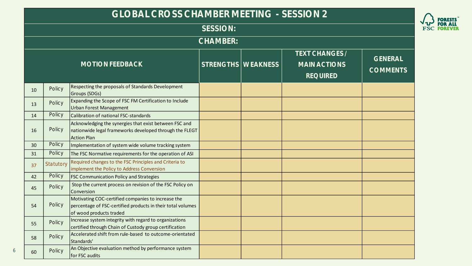#### **GLOBAL CROSS CHAMBER MEETING - SESSION 2**

|    |           | ULU <i>di</i> (L UNUJJ) UI II (IVIDLI\ IVILL I II VU                                                                                         |                    | <u>ULUUIUIN Z</u>                                        |                                   |
|----|-----------|----------------------------------------------------------------------------------------------------------------------------------------------|--------------------|----------------------------------------------------------|-----------------------------------|
|    |           |                                                                                                                                              | <b>SESSION:</b>    |                                                          |                                   |
|    |           |                                                                                                                                              | <b>CHAMBER:</b>    |                                                          |                                   |
|    |           | <b>MOTION FEEDBACK</b>                                                                                                                       | STRENGTHS WEAKNESS | TEXT CHANGES /<br><b>MAIN ACTIONS</b><br><b>REQUIRED</b> | <b>GENERAL</b><br><b>COMMENTS</b> |
| 10 | Policy    | Respecting the proposals of Standards Development<br>Groups (SDGs)                                                                           |                    |                                                          |                                   |
| 13 | Policy    | Expanding the Scope of FSC FM Certification to Include<br><b>Urban Forest Management</b>                                                     |                    |                                                          |                                   |
| 14 | Policy    | Calibration of national FSC-standards                                                                                                        |                    |                                                          |                                   |
| 16 | Policy    | Acknowledging the synergies that exist between FSC and<br>nationwide legal frameworks developed through the FLEGT<br><b>Action Plan</b>      |                    |                                                          |                                   |
| 30 | Policy    | Implementation of system wide volume tracking system                                                                                         |                    |                                                          |                                   |
| 31 | Policy    | The FSC Normative requirements for the operation of ASI                                                                                      |                    |                                                          |                                   |
| 37 | Statutory | Required changes to the FSC Principles and Criteria to<br>implement the Policy to Address Conversion                                         |                    |                                                          |                                   |
| 42 | Policy    | <b>FSC Communication Policy and Strategies</b>                                                                                               |                    |                                                          |                                   |
| 45 | Policy    | Stop the current process on revision of the FSC Policy on<br>Conversion                                                                      |                    |                                                          |                                   |
| 54 | Policy    | Motivating COC-certified companies to increase the<br>percentage of FSC-certified products in their total volumes<br>of wood products traded |                    |                                                          |                                   |
| 55 | Policy    | Increase system integrity with regard to organizations<br>certified through Chain of Custody group certification                             |                    |                                                          |                                   |
| 58 | Policy    | Accelerated shift from rule-based to outcome-orientated<br>Standards'                                                                        |                    |                                                          |                                   |
| 60 | Policy    | An Objective evaluation method by performance system<br>for FSC audits                                                                       |                    |                                                          |                                   |

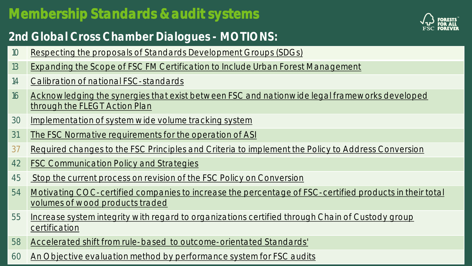# **Membership Standards & audit systems**

### **2nd Global Cross Chamber Dialogues - MOTIONS:**

- 10 [Respecting the proposals of Standards Development Groups \(SDGs\)](https://members.fsc.org/en/motion/21929)
- 13 | [Expanding the Scope of FSC FM Certification to Include Urban Forest Management](https://members.fsc.org/en/motion/21952)
- 14 [Calibration of national FSC-standards](https://members.fsc.org/en/motion/21937)
- 16 Acknowledging the synergies that exist between FSC and nationwide legal frameworks developed through the FLEGT Action Plan
- 30 | [Implementation of system wide volume tracking system](https://members.fsc.org/en/motion/21948)
- 31 | [The FSC Normative requirements for the operation of ASI](https://members.fsc.org/en/motion/21931)
- 37 [Required changes to the FSC Principles and Criteria to implement the Policy to Address Conversion](https://members.fsc.org/en/motion/22160)
- 42 [FSC Communication Policy and Strategies](https://members.fsc.org/en/motion/22157)
- 45 [Stop the current process on revision of the FSC Policy on Conversion](https://members.fsc.org/en/motion/22149)
- 54 [Motivating COC-certified companies to increase the percentage of FSC-certified products in their total](https://members.fsc.org/en/motion/22145)  volumes of wood products traded
- 55 | Increase system integrity with regard to organizations certified through Chain of Custody group **certification**
- 58 [Accelerated shift from rule-based to outcome-orientated Standards'](https://members.fsc.org/en/motion/22154)
- 60 [An Objective evaluation method by performance system for FSC audits](https://members.fsc.org/en/motion/22170)

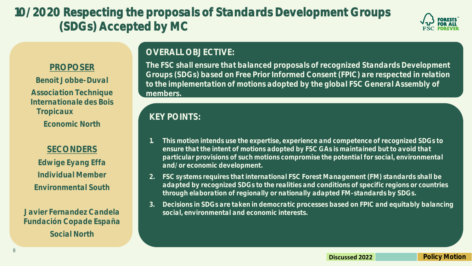# **10/2020 Respecting the proposals of Standards Development Groups (SDGs) Accepted by MC**



#### **PROPOSER**

**Benoit Jobbe-Duval Association Technique Internationale des Bois Tropicaux Economic North**

#### **SECONDERS**

**Edwige Eyang Effa Individual Member Environmental South**

**Javier Fernandez Candela Fundación Copade España Social North**

#### **OVERALL OBJECTIVE:**

**The FSC shall ensure that balanced proposals of recognized Standards Development Groups (SDGs) based on Free Prior Informed Consent (FPIC) are respected in relation to the implementation of motions adopted by the global FSC General Assembly of members.**

- **1. This motion intends use the expertise, experience and competence of recognized SDGs to ensure that the intent of motions adopted by FSC GAs is maintained but to avoid that particular provisions of such motions compromise the potential for social, environmental and/or economic development.**
- **2. FSC systems requires that international FSC Forest Management (FM) standards shall be adapted by recognized SDGs to the realities and conditions of specific regions or countries through elaboration of regionally or nationally adapted FM-standards by SDGs.**
- **3. Decisions in SDGs are taken in democratic processes based on FPIC and equitably balancing social, environmental and economic interests.**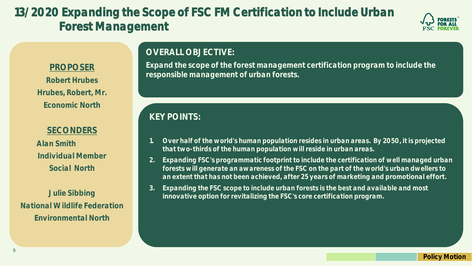# **13/2020 Expanding the Scope of FSC FM Certification to Include Urban Forest Management**



#### **PROPOSER**

**Robert Hrubes Hrubes, Robert, Mr. Economic North**

#### **SECONDERS**

**Alan Smith Individual Member Social North**

**Julie Sibbing National Wildlife Federation Environmental North**

#### **OVERALL OBJECTIVE:**

**Expand the scope of the forest management certification program to include the responsible management of urban forests.**

- **1. Over half of the world's human population resides in urban areas. By 2050, it is projected that two-thirds of the human population will reside in urban areas.**
- **2. Expanding FSC's programmatic footprint to include the certification of well managed urban forests will generate an awareness of the FSC on the part of the world's urban dwellers to an extent that has not been achieved, after 25 years of marketing and promotional effort.**
- **3. Expanding the FSC scope to include urban forests is the best and available and most innovative option for revitalizing the FSC's core certification program.**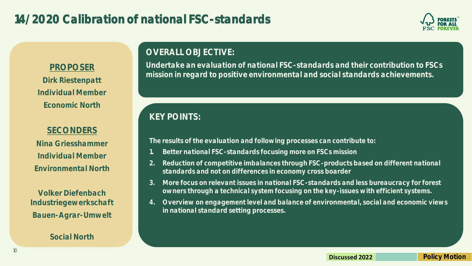### **14/2020 Calibration of national FSC-standards**



#### **PROPOSER**

**Dirk Riestenpatt Individual Member Economic North**

#### **SECONDERS**

**Nina Griesshammer Individual Member Environmental North**

**Volker Diefenbach Industriegewerkschaft Bauen-Agrar-Umwelt**

#### **Social North**

#### **OVERALL OBJECTIVE:**

**Undertake an evaluation of national FSC-standards and their contribution to FSCs mission in regard to positive environmental and social standards achievements.**

### **KEY POINTS:**

**The results of the evaluation and following processes can contribute to:**

- **1. Better national FSC-standards focusing more on FSCs mission**
- **2. Reduction of competitive imbalances through FSC-products based on different national standards and not on differences in economy cross boarder**
- **3. More focus on relevant issues in national FSC-standards and less bureaucracy for forest owners through a technical system focusing on the key-issues with efficient systems.**
- **4. Overview on engagement level and balance of environmental, social and economic views in national standard setting processes.**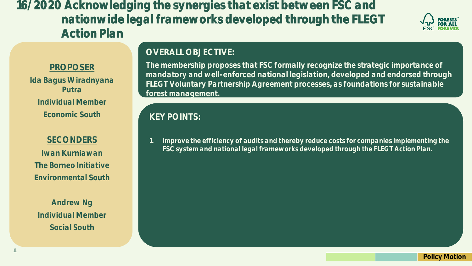**16/2020 Acknowledging the synergies that exist between FSC and nationwide legal frameworks developed through the FLEGT Action Plan**



#### **PROPOSER**

**Ida Bagus Wiradnyana Putra Individual Member Economic South**

**SECONDERS Iwan Kurniawan The Borneo Initiative Environmental South**

**Andrew Ng Individual Member Social South**

11

#### **OVERALL OBJECTIVE:**

**The membership proposes that FSC formally recognize the strategic importance of mandatory and well-enforced national legislation, developed and endorsed through FLEGT Voluntary Partnership Agreement processes, as foundations for sustainable forest management.**

#### **KEY POINTS:**

**1. Improve the efficiency of audits and thereby reduce costs for companies implementing the FSC system and national legal frameworks developed through the FLEGT Action Plan.**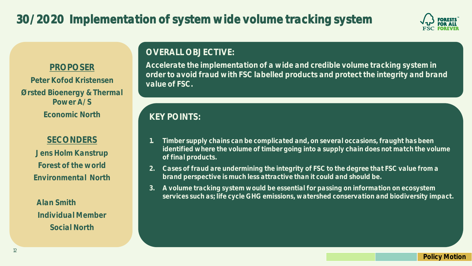

#### **PROPOSER**

**Peter Kofod Kristensen Ørsted Bioenergy & Thermal Power A/S Economic North**

#### **SECONDERS**

**Jens Holm Kanstrup Forest of the world Environmental North**

**Alan Smith Individual Member Social North**

#### **OVERALL OBJECTIVE:**

**Accelerate the implementation of a wide and credible volume tracking system in order to avoid fraud with FSC labelled products and protect the integrity and brand value of FSC.**

- **1. Timber supply chains can be complicated and, on several occasions, fraught has been**  identified where the volume of timber going into a supply chain does not match the volume **of final products.**
- **2. Cases of fraud are undermining the integrity of FSC to the degree that FSC value from a brand perspective is much less attractive than it could and should be.**
- **3. A volume tracking system would be essential for passing on information on ecosystem services such as; life cycle GHG emissions, watershed conservation and biodiversity impact.**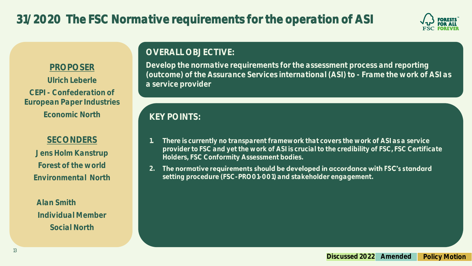

#### **PROPOSER**

**Ulrich Leberle CEPI - Confederation of European Paper Industries Economic North**

#### **SECONDERS**

**Jens Holm Kanstrup Forest of the world Environmental North**

**Alan Smith Individual Member Social North**

#### **OVERALL OBJECTIVE:**

**Develop the normative requirements for the assessment process and reporting (outcome) of the Assurance Services international (ASI) to - Frame the work of ASI as a service provider**

- **1. There is currently no transparent framework that covers the work of ASI as a service provider to FSC and yet the work of ASI is crucial to the credibility of FSC, FSC Certificate Holders, FSC Conformity Assessment bodies.**
- **2.** The normative requirements should be developed in accordance with FSC's standard **setting procedure (FSC-PRO01-001) and stakeholder engagement.**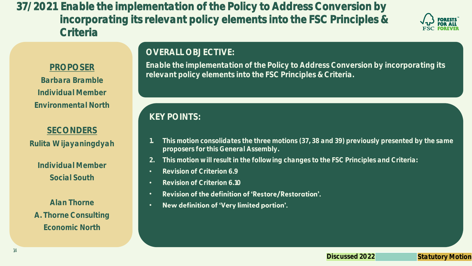**37/2021 Enable the implementation of the Policy to Address Conversion by incorporating its relevant policy elements into the FSC Principles & Criteria**



#### **PROPOSER**

**Barbara Bramble Individual Member Environmental North**

#### **SECONDERS**

**Rulita Wijayaningdyah**

**Individual Member Social South**

**Alan Thorne A. Thorne Consulting Economic North**

#### **OVERALL OBJECTIVE:**

**Enable the implementation of the Policy to Address Conversion by incorporating its relevant policy elements into the FSC Principles & Criteria.**

- **1. This motion consolidates the three motions (37, 38 and 39) previously presented by the same proposers for this General Assembly.**
- **2. This motion will result in the following changes to the FSC Principles and Criteria:**
- **Revision of Criterion 6.9**
- **Revision of Criterion 6.10**
- Revision of the definition of 'Restore/Restoration'. •
- New definition of 'Very limited portion'. •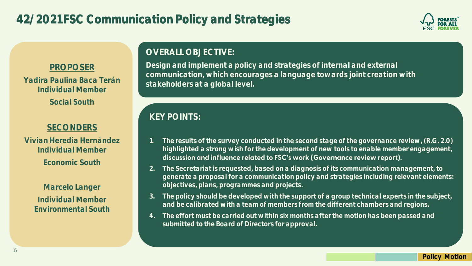

#### **PROPOSER**

**Yadira Paulina Baca Terán Individual Member Social South**

#### **SECONDERS**

**Vivian Heredia Hernández Individual Member Economic South**

> **Marcelo Langer Individual Member Environmental South**

#### **OVERALL OBJECTIVE:**

**Design and implement a policy and strategies of internal and external communication, which encourages a language towards joint creation with stakeholders at a global level.**

- **1. The results of the survey conducted in the second stage of the governance review, (R.G. 2.0) highlighted a strong wish for the development of new tools to enable member engagement,**  discussion and influence related to FSC's work (Governance review report).
- **2. The Secretariat is requested, based on a diagnosis of its communication management, to generate a proposal for a communication policy and strategies including relevant elements: objectives, plans, programmes and projects.**
- **3. The policy should be developed with the support of a group technical experts in the subject, and be calibrated with a team of members from the different chambers and regions.**
- **4. The effort must be carried out within six months after the motion has been passed and submitted to the Board of Directors for approval.**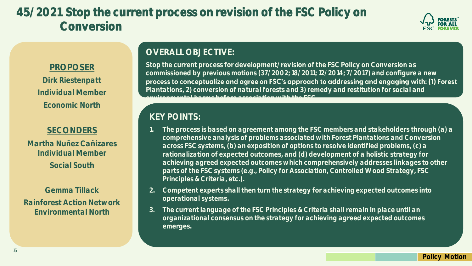# **45/2021 Stop the current process on revision of the FSC Policy on Conversion**



#### **PROPOSER**

**Dirk Riestenpatt Individual Member Economic North**

#### **SECONDERS**

**Martha Nuñez Cañizares Individual Member Social South**

**Gemma Tillack Rainforest Action Network Environmental North**

#### **OVERALL OBJECTIVE:**

**Stop the current process for development/revision of the FSC Policy on Conversion as commissioned by previous motions (37/2002; 18/2011; 12/2014; 7/2017) and configure a new**  process to conceptualize and agree on FSC's approach to addressing and engaging with: (1) Forest **Plantations, 2) conversion of natural forests and 3) remedy and restitution for social and environmental harms before association with the FSC.**

- **1. The process is based on agreement among the FSC members and stakeholders through (a) a comprehensive analysis of problems associated with Forest Plantations and Conversion across FSC systems, (b) an exposition of options to resolve identified problems, (c) a rationalization of expected outcomes, and (d) development of a holistic strategy for achieving agreed expected outcomes which comprehensively addresses linkages to other parts of the FSC systems (e.g., Policy for Association, Controlled Wood Strategy, FSC Principles & Criteria, etc.).**
- **2. Competent experts shall then turn the strategy for achieving expected outcomes into operational systems.**
- **3. The current language of the FSC Principles & Criteria shall remain in place until an organizational consensus on the strategy for achieving agreed expected outcomes emerges.**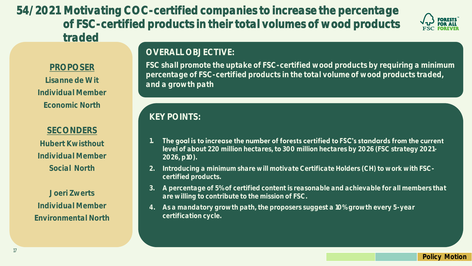**54/2021 Motivating COC-certified companies to increase the percentage of FSC-certified products in their total volumes of wood products traded**



#### **PROPOSER**

**Lisanne de Wit Individual Member Economic North**

#### **SECONDERS**

**Hubert Kwisthout Individual Member Social North**

**Joeri Zwerts Individual Member Environmental North**

#### **OVERALL OBJECTIVE:**

**FSC shall promote the uptake of FSC-certified wood products by requiring a minimum percentage of FSC-certified products in the total volume of wood products traded, and a growth path**

- **1.** The goal is to increase the number of forests certified to FSC's standards from the current **level of about 220 million hectares, to 300 million hectares by 2026 (FSC strategy 2021- 2026, p10).**
- **2. Introducing a minimum share will motivate Certificate Holders (CH) to work with FSCcertified products.**
- **3. A percentage of 5% of certified content is reasonable and achievable for all members that are willing to contribute to the mission of FSC.**
- **4. As a mandatory growth path, the proposers suggest a 10% growth every 5-year certification cycle.**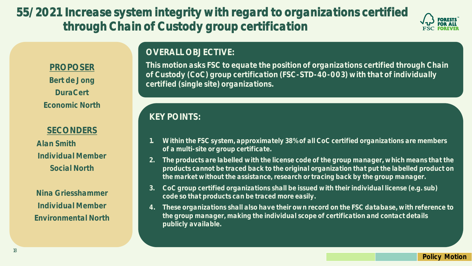**55/2021 Increase system integrity with regard to organizations certified through Chain of Custody group certification**



#### **PROPOSER**

**Bert de Jong DuraCert Economic North**

#### **SECONDERS**

**Alan Smith Individual Member Social North**

**Nina Griesshammer Individual Member Environmental North**

#### **OVERALL OBJECTIVE:**

**This motion asks FSC to equate the position of organizations certified through Chain of Custody (CoC) group certification (FSC-STD-40-003) with that of individually certified (single site) organizations.** 

- **1. Within the FSC system, approximately 38% of all CoC certified organizations are members of a multi-site or group certificate.**
- **2. The products are labelled with the license code of the group manager, which means that the products cannot be traced back to the original organization that put the labelled product on the market without the assistance, research or tracing back by the group manager.**
- **3. CoC group certified organizations shall be issued with their individual license (e.g. sub) code so that products can be traced more easily.**
- **4. These organizations shall also have their own record on the FSC database, with reference to the group manager, making the individual scope of certification and contact details publicly available.**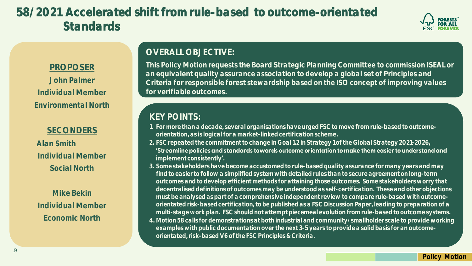# **58/2021 Accelerated shift from rule-based to outcome-orientated Standards**



#### **PROPOSER**

**John Palmer Individual Member Environmental North**

#### **SECONDERS**

**Alan Smith Individual Member Social North**

**Mike Bekin Individual Member Economic North**

#### **OVERALL OBJECTIVE:**

**This Policy Motion requests the Board Strategic Planning Committee to commission ISEAL or an equivalent quality assurance association to develop a global set of Principles and Criteria for responsible forest stewardship based on the ISO concept of improving values for verifiable outcomes.**

#### **KEY POINTS:**

- **1. For more than a decade, several organisations have urged FSC to move from rule-based to outcomeorientation, as is logical for a market-linked certification scheme.**
- **2. FSC repeated the commitment to change in Goal 1.2 in Strategy 1 of the Global Strategy 2021-2026,**  'Streamline policies and standards towards outcome orientation to make them easier to understand and implement consistently'.
- **3. Some stakeholders have become accustomed to rule-based quality assurance for many years and may find to easier to follow a simplified system with detailed rules than to secure agreement on long-term outcomes and to develop efficient methods for attaining those outcomes. Some stakeholders worry that decentraliseddefinitions of outcomes may be understood as self-certification. These and other objections must be analysedas part of a comprehensive independent review to compare rule-based with outcomeorientated risk-based certification, to be published as a FSC Discussion Paper, leading to preparation of a multi-stage work plan. FSC should not attempt piecemeal evolution from rule-based to outcome systems. 4. Motion 58 calls for demonstrations at both industrial and community/smallholder scale to provide working examples with public documentation over the next 3-5 years to provide a solid basis for an outcome-**

**orientated, risk-based V6 of the FSC Principles & Criteria.**